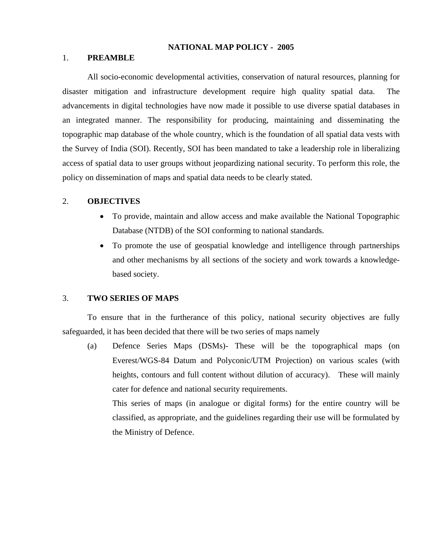### **NATIONAL MAP POLICY - 2005**

## 1. **PREAMBLE**

All socio-economic developmental activities, conservation of natural resources, planning for disaster mitigation and infrastructure development require high quality spatial data. The advancements in digital technologies have now made it possible to use diverse spatial databases in an integrated manner. The responsibility for producing, maintaining and disseminating the topographic map database of the whole country, which is the foundation of all spatial data vests with the Survey of India (SOI). Recently, SOI has been mandated to take a leadership role in liberalizing access of spatial data to user groups without jeopardizing national security. To perform this role, the policy on dissemination of maps and spatial data needs to be clearly stated.

#### 2. **OBJECTIVES**

- To provide, maintain and allow access and make available the National Topographic Database (NTDB) of the SOI conforming to national standards.
- To promote the use of geospatial knowledge and intelligence through partnerships and other mechanisms by all sections of the society and work towards a knowledgebased society.

#### 3. **TWO SERIES OF MAPS**

To ensure that in the furtherance of this policy, national security objectives are fully safeguarded, it has been decided that there will be two series of maps namely

(a) Defence Series Maps (DSMs)- These will be the topographical maps (on Everest/WGS-84 Datum and Polyconic/UTM Projection) on various scales (with heights, contours and full content without dilution of accuracy). These will mainly cater for defence and national security requirements.

This series of maps (in analogue or digital forms) for the entire country will be classified, as appropriate, and the guidelines regarding their use will be formulated by the Ministry of Defence.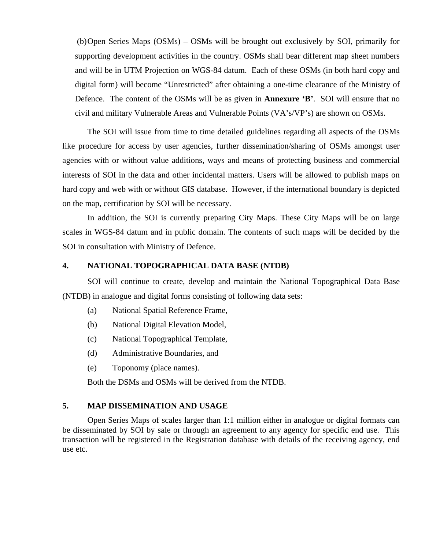(b) Open Series Maps (OSMs) – OSMs will be brought out exclusively by SOI, primarily for supporting development activities in the country. OSMs shall bear different map sheet numbers and will be in UTM Projection on WGS-84 datum. Each of these OSMs (in both hard copy and digital form) will become "Unrestricted" after obtaining a one-time clearance of the Ministry of Defence. The content of the OSMs will be as given in **Annexure 'B'**. SOI will ensure that no civil and military Vulnerable Areas and Vulnerable Points (VA's/VP's) are shown on OSMs.

 The SOI will issue from time to time detailed guidelines regarding all aspects of the OSMs like procedure for access by user agencies, further dissemination/sharing of OSMs amongst user agencies with or without value additions, ways and means of protecting business and commercial interests of SOI in the data and other incidental matters. Users will be allowed to publish maps on hard copy and web with or without GIS database. However, if the international boundary is depicted on the map, certification by SOI will be necessary.

 In addition, the SOI is currently preparing City Maps. These City Maps will be on large scales in WGS-84 datum and in public domain. The contents of such maps will be decided by the SOI in consultation with Ministry of Defence.

#### **4. NATIONAL TOPOGRAPHICAL DATA BASE (NTDB)**

SOI will continue to create, develop and maintain the National Topographical Data Base (NTDB) in analogue and digital forms consisting of following data sets:

- (a) National Spatial Reference Frame,
- (b) National Digital Elevation Model,
- (c) National Topographical Template,
- (d) Administrative Boundaries, and
- (e) Toponomy (place names).

Both the DSMs and OSMs will be derived from the NTDB.

## **5. MAP DISSEMINATION AND USAGE**

 Open Series Maps of scales larger than 1:1 million either in analogue or digital formats can be disseminated by SOI by sale or through an agreement to any agency for specific end use. This transaction will be registered in the Registration database with details of the receiving agency, end use etc.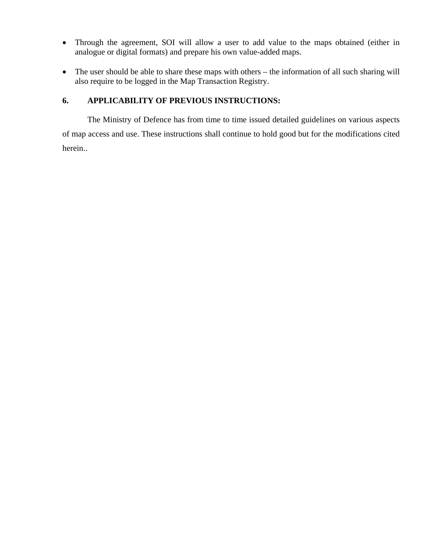- Through the agreement, SOI will allow a user to add value to the maps obtained (either in analogue or digital formats) and prepare his own value-added maps.
- The user should be able to share these maps with others the information of all such sharing will also require to be logged in the Map Transaction Registry.

## **6. APPLICABILITY OF PREVIOUS INSTRUCTIONS:**

The Ministry of Defence has from time to time issued detailed guidelines on various aspects of map access and use. These instructions shall continue to hold good but for the modifications cited herein..